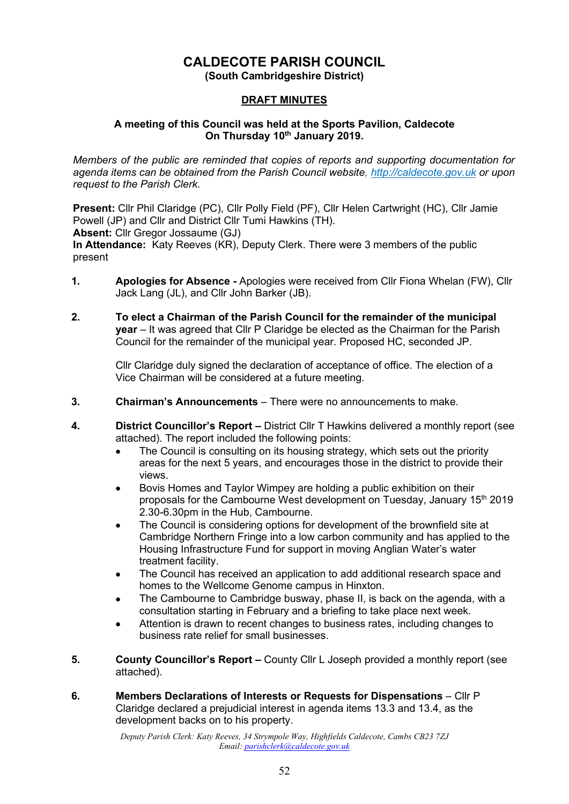# **CALDECOTE PARISH COUNCIL**

**(South Cambridgeshire District)**

### **DRAFT MINUTES**

### **A meeting of this Council was held at the Sports Pavilion, Caldecote On Thursday 10th January 2019.**

*Members of the public are reminded that copies of reports and supporting documentation for agenda items can be obtained from the Parish Council website, [http://caldecote.gov.uk](http://caldecote.gov.uk/) or upon request to the Parish Clerk.*

**Present:** Cllr Phil Claridge (PC), Cllr Polly Field (PF), Cllr Helen Cartwright (HC), Cllr Jamie Powell (JP) and Cllr and District Cllr Tumi Hawkins (TH). **Absent:** Cllr Gregor Jossaume (GJ) **In Attendance:** Katy Reeves (KR), Deputy Clerk. There were 3 members of the public present

- **1. Apologies for Absence -** Apologies were received from Cllr Fiona Whelan (FW), Cllr Jack Lang (JL), and Cllr John Barker (JB).
- **2. To elect a Chairman of the Parish Council for the remainder of the municipal year** – It was agreed that Cllr P Claridge be elected as the Chairman for the Parish Council for the remainder of the municipal year. Proposed HC, seconded JP.

Cllr Claridge duly signed the declaration of acceptance of office. The election of a Vice Chairman will be considered at a future meeting.

- **3. Chairman's Announcements** There were no announcements to make.
- **4. District Councillor's Report –** District Cllr T Hawkins delivered a monthly report (see attached). The report included the following points:
	- The Council is consulting on its housing strategy, which sets out the priority areas for the next 5 years, and encourages those in the district to provide their views.
	- Bovis Homes and Taylor Wimpey are holding a public exhibition on their proposals for the Cambourne West development on Tuesday, January  $15<sup>th</sup> 2019$ 2.30-6.30pm in the Hub, Cambourne.
	- The Council is considering options for development of the brownfield site at Cambridge Northern Fringe into a low carbon community and has applied to the Housing Infrastructure Fund for support in moving Anglian Water's water treatment facility.
	- The Council has received an application to add additional research space and homes to the Wellcome Genome campus in Hinxton.
	- The Cambourne to Cambridge busway, phase II, is back on the agenda, with a consultation starting in February and a briefing to take place next week.
	- Attention is drawn to recent changes to business rates, including changes to business rate relief for small businesses.
- **5. County Councillor's Report –** County Cllr L Joseph provided a monthly report (see attached).
- **6. Members Declarations of Interests or Requests for Dispensations** Cllr P Claridge declared a prejudicial interest in agenda items 13.3 and 13.4, as the development backs on to his property.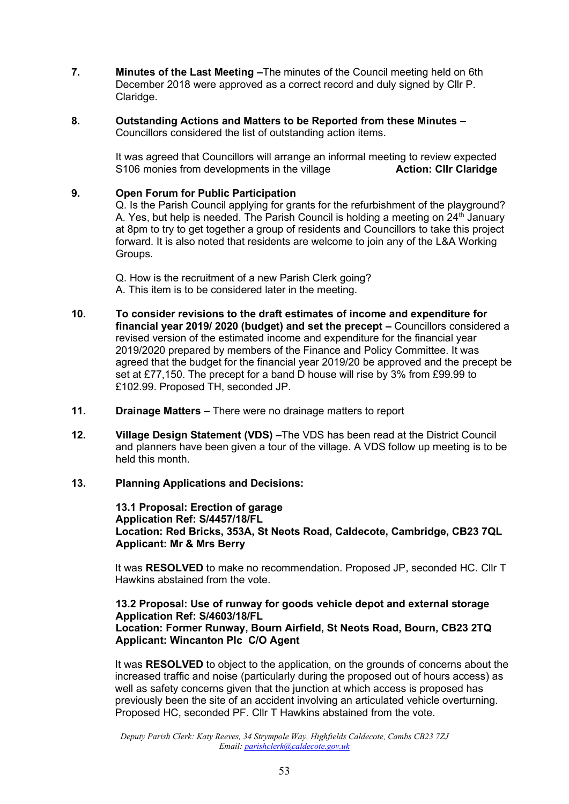- **7. Minutes of the Last Meeting –**The minutes of the Council meeting held on 6th December 2018 were approved as a correct record and duly signed by Cllr P. Claridge.
- **8. Outstanding Actions and Matters to be Reported from these Minutes –** Councillors considered the list of outstanding action items.

It was agreed that Councillors will arrange an informal meeting to review expected S106 monies from developments in the village **Action: Cllr Claridge**

#### **9. Open Forum for Public Participation**

Q. Is the Parish Council applying for grants for the refurbishment of the playground? A. Yes, but help is needed. The Parish Council is holding a meeting on  $24<sup>th</sup>$  January at 8pm to try to get together a group of residents and Councillors to take this project forward. It is also noted that residents are welcome to join any of the L&A Working Groups.

Q. How is the recruitment of a new Parish Clerk going? A. This item is to be considered later in the meeting.

- **10. To consider revisions to the draft estimates of income and expenditure for financial year 2019/ 2020 (budget) and set the precept –** Councillors considered a revised version of the estimated income and expenditure for the financial year 2019/2020 prepared by members of the Finance and Policy Committee. It was agreed that the budget for the financial year 2019/20 be approved and the precept be set at £77,150. The precept for a band D house will rise by 3% from £99.99 to £102.99. Proposed TH, seconded JP.
- **11. Drainage Matters –** There were no drainage matters to report
- **12. Village Design Statement (VDS) –**The VDS has been read at the District Council and planners have been given a tour of the village. A VDS follow up meeting is to be held this month.

#### **13. Planning Applications and Decisions:**

**13.1 Proposal: Erection of garage Application Ref: S/4457/18/FL Location: Red Bricks, 353A, St Neots Road, Caldecote, Cambridge, CB23 7QL Applicant: Mr & Mrs Berry**

It was **RESOLVED** to make no recommendation. Proposed JP, seconded HC. Cllr T Hawkins abstained from the vote.

#### **13.2 Proposal: Use of runway for goods vehicle depot and external storage Application Ref: S/4603/18/FL Location: Former Runway, Bourn Airfield, St Neots Road, Bourn, CB23 2TQ Applicant: Wincanton Plc C/O Agent**

It was **RESOLVED** to object to the application, on the grounds of concerns about the increased traffic and noise (particularly during the proposed out of hours access) as well as safety concerns given that the junction at which access is proposed has previously been the site of an accident involving an articulated vehicle overturning. Proposed HC, seconded PF. Cllr T Hawkins abstained from the vote.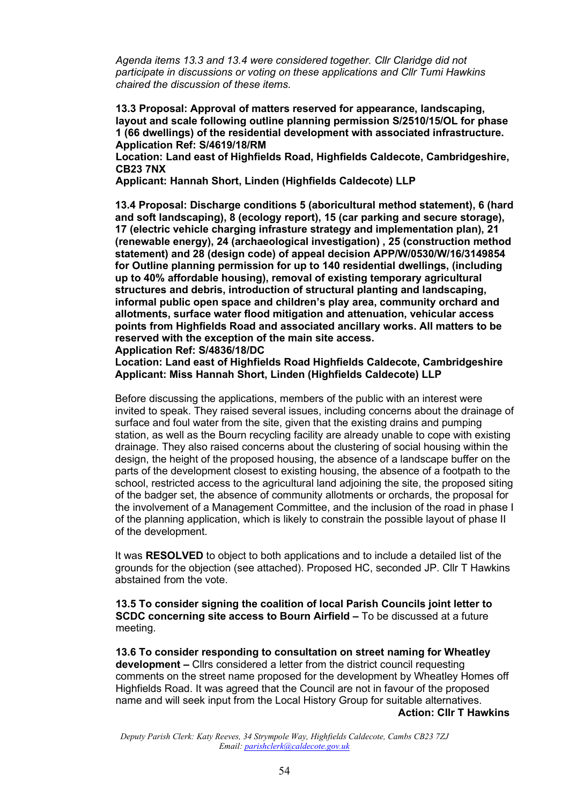*Agenda items 13.3 and 13.4 were considered together. Cllr Claridge did not participate in discussions or voting on these applications and Cllr Tumi Hawkins chaired the discussion of these items.* 

**13.3 Proposal: Approval of matters reserved for appearance, landscaping, layout and scale following outline planning permission S/2510/15/OL for phase 1 (66 dwellings) of the residential development with associated infrastructure. Application Ref: S/4619/18/RM**

**Location: Land east of Highfields Road, Highfields Caldecote, Cambridgeshire, CB23 7NX**

**Applicant: Hannah Short, Linden (Highfields Caldecote) LLP**

**13.4 Proposal: Discharge conditions 5 (aboricultural method statement), 6 (hard and soft landscaping), 8 (ecology report), 15 (car parking and secure storage), 17 (electric vehicle charging infrasture strategy and implementation plan), 21 (renewable energy), 24 (archaeological investigation) , 25 (construction method statement) and 28 (design code) of appeal decision APP/W/0530/W/16/3149854 for Outline planning permission for up to 140 residential dwellings, (including up to 40% affordable housing), removal of existing temporary agricultural structures and debris, introduction of structural planting and landscaping, informal public open space and children's play area, community orchard and allotments, surface water flood mitigation and attenuation, vehicular access points from Highfields Road and associated ancillary works. All matters to be reserved with the exception of the main site access. Application Ref: S/4836/18/DC**

**Location: Land east of Highfields Road Highfields Caldecote, Cambridgeshire Applicant: Miss Hannah Short, Linden (Highfields Caldecote) LLP**

Before discussing the applications, members of the public with an interest were invited to speak. They raised several issues, including concerns about the drainage of surface and foul water from the site, given that the existing drains and pumping station, as well as the Bourn recycling facility are already unable to cope with existing drainage. They also raised concerns about the clustering of social housing within the design, the height of the proposed housing, the absence of a landscape buffer on the parts of the development closest to existing housing, the absence of a footpath to the school, restricted access to the agricultural land adjoining the site, the proposed siting of the badger set, the absence of community allotments or orchards, the proposal for the involvement of a Management Committee, and the inclusion of the road in phase I of the planning application, which is likely to constrain the possible layout of phase II of the development.

It was **RESOLVED** to object to both applications and to include a detailed list of the grounds for the objection (see attached). Proposed HC, seconded JP. Cllr T Hawkins abstained from the vote.

**13.5 To consider signing the coalition of local Parish Councils joint letter to SCDC concerning site access to Bourn Airfield –** To be discussed at a future meeting.

**13.6 To consider responding to consultation on street naming for Wheatley development –** Cllrs considered a letter from the district council requesting comments on the street name proposed for the development by Wheatley Homes off Highfields Road. It was agreed that the Council are not in favour of the proposed name and will seek input from the Local History Group for suitable alternatives. **Action: Cllr T Hawkins**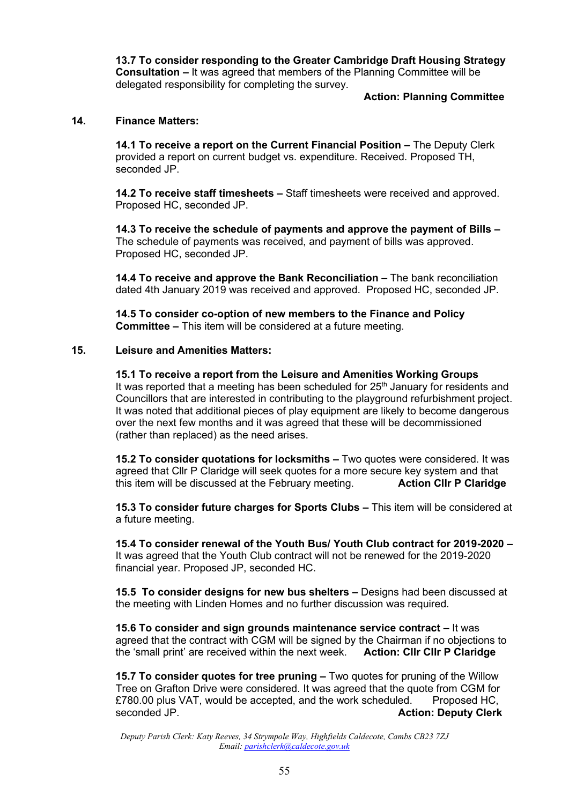**13.7 To consider responding to the Greater Cambridge Draft Housing Strategy Consultation –** It was agreed that members of the Planning Committee will be delegated responsibility for completing the survey.

### **Action: Planning Committee**

### **14. Finance Matters:**

**14.1 To receive a report on the Current Financial Position –** The Deputy Clerk provided a report on current budget vs. expenditure. Received. Proposed TH, seconded JP.

**14.2 To receive staff timesheets –** Staff timesheets were received and approved. Proposed HC, seconded JP.

**14.3 To receive the schedule of payments and approve the payment of Bills –** The schedule of payments was received, and payment of bills was approved. Proposed HC, seconded JP.

**14.4 To receive and approve the Bank Reconciliation –** The bank reconciliation dated 4th January 2019 was received and approved. Proposed HC, seconded JP.

**14.5 To consider co-option of new members to the Finance and Policy Committee –** This item will be considered at a future meeting.

### **15. Leisure and Amenities Matters:**

**15.1 To receive a report from the Leisure and Amenities Working Groups** It was reported that a meeting has been scheduled for  $25<sup>th</sup>$  January for residents and Councillors that are interested in contributing to the playground refurbishment project. It was noted that additional pieces of play equipment are likely to become dangerous over the next few months and it was agreed that these will be decommissioned (rather than replaced) as the need arises.

**15.2 To consider quotations for locksmiths –** Two quotes were considered. It was agreed that Cllr P Claridge will seek quotes for a more secure key system and that this item will be discussed at the February meeting. **Action Cllr P Claridge**

**15.3 To consider future charges for Sports Clubs –** This item will be considered at a future meeting.

**15.4 To consider renewal of the Youth Bus/ Youth Club contract for 2019-2020 –** It was agreed that the Youth Club contract will not be renewed for the 2019-2020 financial year. Proposed JP, seconded HC.

**15.5 To consider designs for new bus shelters –** Designs had been discussed at the meeting with Linden Homes and no further discussion was required.

**15.6 To consider and sign grounds maintenance service contract –** It was agreed that the contract with CGM will be signed by the Chairman if no objections to the 'small print' are received within the next week. **Action: Cllr Cllr P Claridge**

**15.7 To consider quotes for tree pruning –** Two quotes for pruning of the Willow Tree on Grafton Drive were considered. It was agreed that the quote from CGM for £780.00 plus VAT, would be accepted, and the work scheduled. Proposed HC, seconded JP. **Action: Deputy Clerk**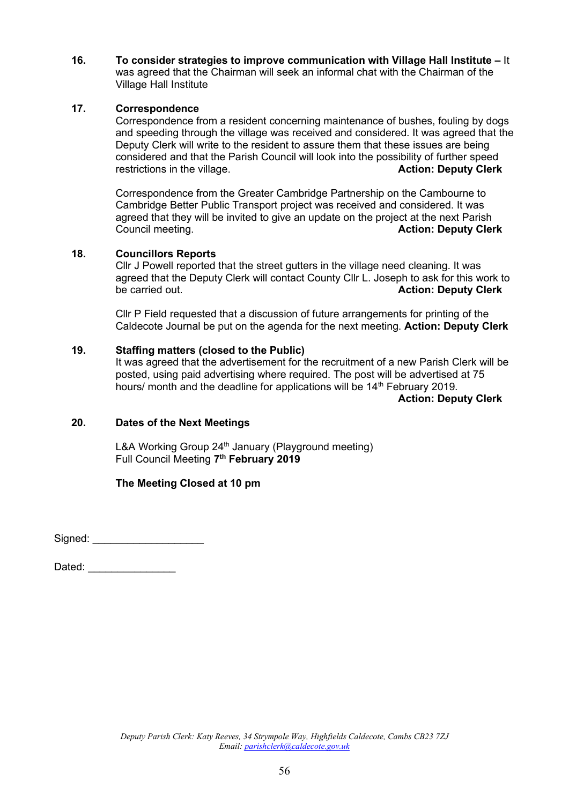**16. To consider strategies to improve communication with Village Hall Institute –** It was agreed that the Chairman will seek an informal chat with the Chairman of the Village Hall Institute

### **17. Correspondence**

Correspondence from a resident concerning maintenance of bushes, fouling by dogs and speeding through the village was received and considered. It was agreed that the Deputy Clerk will write to the resident to assure them that these issues are being considered and that the Parish Council will look into the possibility of further speed restrictions in the village. **Action: Deputy Clerk**

Correspondence from the Greater Cambridge Partnership on the Cambourne to Cambridge Better Public Transport project was received and considered. It was agreed that they will be invited to give an update on the project at the next Parish Council meeting. **Action: Deputy Clerk**

### **18. Councillors Reports**

Cllr J Powell reported that the street gutters in the village need cleaning. It was agreed that the Deputy Clerk will contact County Cllr L. Joseph to ask for this work to be carried out. **Action: Deputy Clerk**

Cllr P Field requested that a discussion of future arrangements for printing of the Caldecote Journal be put on the agenda for the next meeting. **Action: Deputy Clerk**

### **19. Staffing matters (closed to the Public)**

It was agreed that the advertisement for the recruitment of a new Parish Clerk will be posted, using paid advertising where required. The post will be advertised at 75 hours/ month and the deadline for applications will be  $14<sup>th</sup>$  February 2019.

**Action: Deputy Clerk**

### **20. Dates of the Next Meetings**

L&A Working Group 24<sup>th</sup> January (Playground meeting) Full Council Meeting **7 th February 2019**

**The Meeting Closed at 10 pm**

Signed:  $\Box$ 

Dated:  $\Box$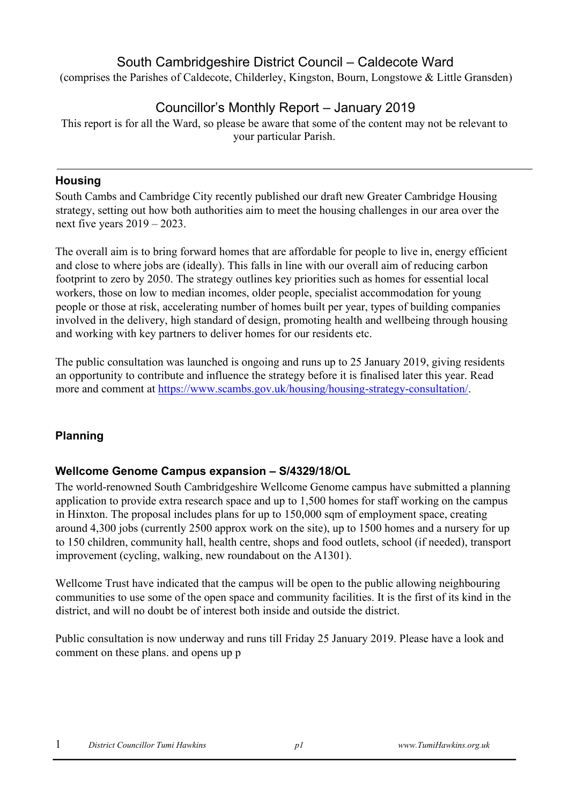# South Cambridgeshire District Council – Caldecote Ward

(comprises the Parishes of Caldecote, Childerley, Kingston, Bourn, Longstowe & Little Gransden)

# Councillor's Monthly Report – January 2019

This report is for all the Ward, so please be aware that some of the content may not be relevant to your particular Parish.

## **Housing**

South Cambs and Cambridge City recently published our draft new Greater Cambridge Housing strategy, setting out how both authorities aim to meet the housing challenges in our area over the next five years 2019 – 2023.

The overall aim is to bring forward homes that are affordable for people to live in, energy efficient and close to where jobs are (ideally). This falls in line with our overall aim of reducing carbon footprint to zero by 2050. The strategy outlines key priorities such as homes for essential local workers, those on low to median incomes, older people, specialist accommodation for young people or those at risk, accelerating number of homes built per year, types of building companies involved in the delivery, high standard of design, promoting health and wellbeing through housing and working with key partners to deliver homes for our residents etc.

The public consultation was launched is ongoing and runs up to 25 January 2019, giving residents an opportunity to contribute and influence the strategy before it is finalised later this year. Read more and comment at [https://www.scambs.gov.uk/housing/housing-strategy-consultation/.](https://www.scambs.gov.uk/housing/housing-strategy-consultation/)

# **Planning**

# **Wellcome Genome Campus expansion – S/4329/18/OL**

The world-renowned South Cambridgeshire Wellcome Genome campus have submitted a planning application to provide extra research space and up to 1,500 homes for staff working on the campus in Hinxton. The proposal includes plans for up to 150,000 sqm of employment space, creating around 4,300 jobs (currently 2500 approx work on the site), up to 1500 homes and a nursery for up to 150 children, community hall, health centre, shops and food outlets, school (if needed), transport improvement (cycling, walking, new roundabout on the A1301).

Wellcome Trust have indicated that the campus will be open to the public allowing neighbouring communities to use some of the open space and community facilities. It is the first of its kind in the district, and will no doubt be of interest both inside and outside the district.

Public consultation is now underway and runs till Friday 25 January 2019. Please have a look and comment on these plans. and opens up p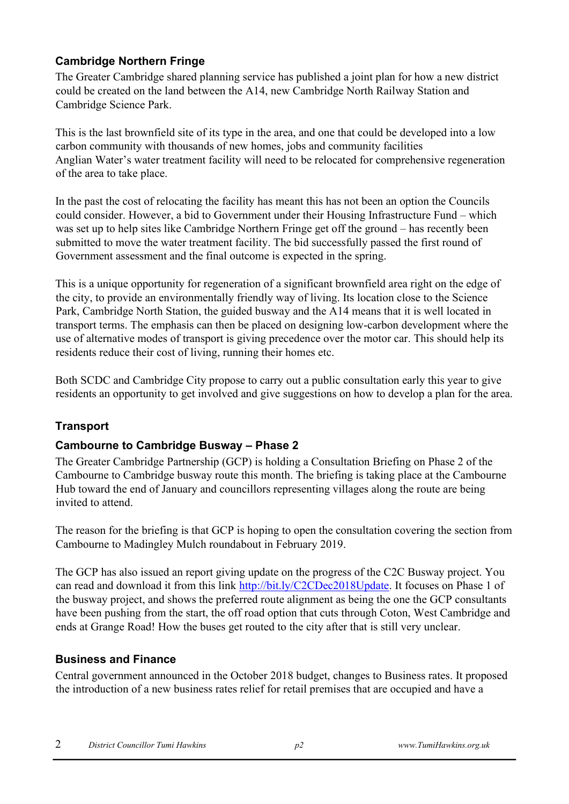# **Cambridge Northern Fringe**

The Greater Cambridge shared planning service has published a joint plan for how a new district could be created on the land between the A14, new Cambridge North Railway Station and Cambridge Science Park.

This is the last brownfield site of its type in the area, and one that could be developed into a low carbon community with thousands of new homes, jobs and community facilities Anglian Water's water treatment facility will need to be relocated for comprehensive regeneration of the area to take place.

In the past the cost of relocating the facility has meant this has not been an option the Councils could consider. However, a bid to Government under their Housing Infrastructure Fund – which was set up to help sites like Cambridge Northern Fringe get off the ground – has recently been submitted to move the water treatment facility. The bid successfully passed the first round of Government assessment and the final outcome is expected in the spring.

This is a unique opportunity for regeneration of a significant brownfield area right on the edge of the city, to provide an environmentally friendly way of living. Its location close to the Science Park, Cambridge North Station, the guided busway and the A14 means that it is well located in transport terms. The emphasis can then be placed on designing low-carbon development where the use of alternative modes of transport is giving precedence over the motor car. This should help its residents reduce their cost of living, running their homes etc.

Both SCDC and Cambridge City propose to carry out a public consultation early this year to give residents an opportunity to get involved and give suggestions on how to develop a plan for the area.

# **Transport**

# **Cambourne to Cambridge Busway – Phase 2**

The Greater Cambridge Partnership (GCP) is holding a Consultation Briefing on Phase 2 of the Cambourne to Cambridge busway route this month. The briefing is taking place at the Cambourne Hub toward the end of January and councillors representing villages along the route are being invited to attend.

The reason for the briefing is that GCP is hoping to open the consultation covering the section from Cambourne to Madingley Mulch roundabout in February 2019.

The GCP has also issued an report giving update on the progress of the C2C Busway project. You can read and download it from this link [http://bit.ly/C2CDec2018Update.](http://bit.ly/C2CDec2018Update) It focuses on Phase 1 of the busway project, and shows the preferred route alignment as being the one the GCP consultants have been pushing from the start, the off road option that cuts through Coton, West Cambridge and ends at Grange Road! How the buses get routed to the city after that is still very unclear.

# **Business and Finance**

Central government announced in the October 2018 budget, changes to Business rates. It proposed the introduction of a new business rates relief for retail premises that are occupied and have a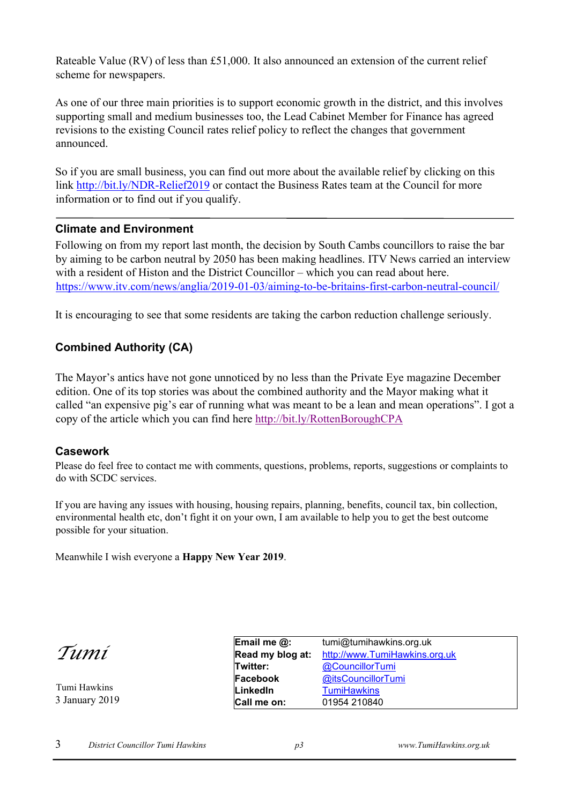Rateable Value (RV) of less than £51,000. It also announced an extension of the current relief scheme for newspapers.

As one of our three main priorities is to support economic growth in the district, and this involves supporting small and medium businesses too, the Lead Cabinet Member for Finance has agreed revisions to the existing Council rates relief policy to reflect the changes that government announced.

So if you are small business, you can find out more about the available relief by clicking on this link<http://bit.ly/NDR-Relief2019> or contact the Business Rates team at the Council for more information or to find out if you qualify.

### **Climate and Environment**

Following on from my report last month, the decision by South Cambs councillors to raise the bar by aiming to be carbon neutral by 2050 has been making headlines. ITV News carried an interview with a resident of Histon and the District Councillor – which you can read about here. <https://www.itv.com/news/anglia/2019-01-03/aiming-to-be-britains-first-carbon-neutral-council/>

It is encouraging to see that some residents are taking the carbon reduction challenge seriously.

# **Combined Authority (CA)**

The Mayor's antics have not gone unnoticed by no less than the Private Eye magazine December edition. One of its top stories was about the combined authority and the Mayor making what it called "an expensive pig's ear of running what was meant to be a lean and mean operations". I got a copy of the article which you can find here<http://bit.ly/RottenBoroughCPA>

### **Casework**

Please do feel free to contact me with comments, questions, problems, reports, suggestions or complaints to do with SCDC services.

If you are having any issues with housing, housing repairs, planning, benefits, council tax, bin collection, environmental health etc, don't fight it on your own, I am available to help you to get the best outcome possible for your situation.

Meanwhile I wish everyone a **Happy New Year 2019**.

*Tumi* 

Tumi Hawkins 3 January 2019

| Email me @:      | tumi@tumihawkins.org.uk       |
|------------------|-------------------------------|
| Read my blog at: | http://www.TumiHawkins.org.uk |
| Twitter:         | @CouncillorTumi               |
| Facebook         | @itsCouncillorTumi            |
| LinkedIn         | <b>TumiHawkins</b>            |
| Call me on:      | 01954 210840                  |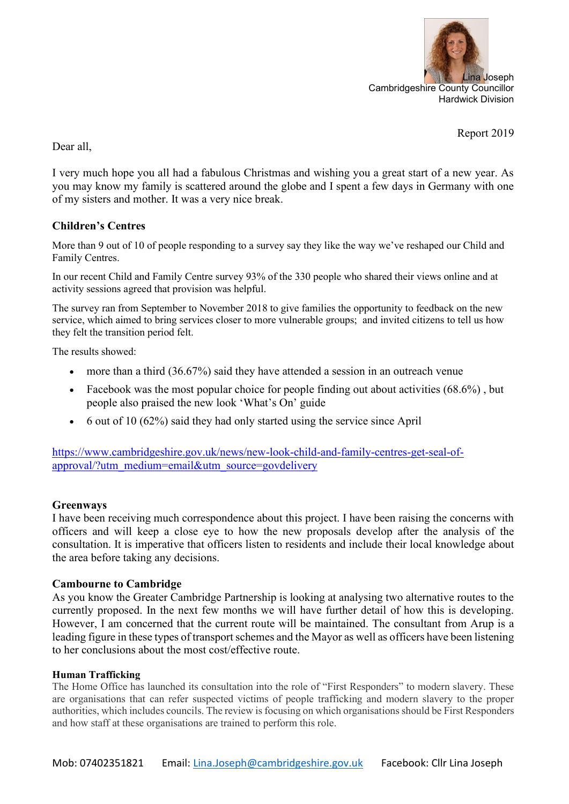

Report 2019

Dear all,

I very much hope you all had a fabulous Christmas and wishing you a great start of a new year. As you may know my family is scattered around the globe and I spent a few days in Germany with one of my sisters and mother. It was a very nice break.

## **Children's Centres**

More than 9 out of 10 of people responding to a survey say they like the way we've reshaped our Child and Family Centres.

In our recent Child and Family Centre survey 93% of the 330 people who shared their views online and at activity sessions agreed that provision was helpful.

The survey ran from September to November 2018 to give families the opportunity to feedback on the new service, which aimed to bring services closer to more vulnerable groups; and invited citizens to tell us how they felt the transition period felt.

The results showed:

- more than a third (36.67%) said they have attended a session in an outreach venue
- Facebook was the most popular choice for people finding out about activities (68.6%), but people also praised the new look 'What's On' guide
- 6 out of 10 (62%) said they had only started using the service since April

[https://www.cambridgeshire.gov.uk/news/new-look-child-and-family-centres-get-seal-of](https://www.cambridgeshire.gov.uk/news/new-look-child-and-family-centres-get-seal-of-approval/?utm_medium=email&utm_source=govdelivery)[approval/?utm\\_medium=email&utm\\_source=govdelivery](https://www.cambridgeshire.gov.uk/news/new-look-child-and-family-centres-get-seal-of-approval/?utm_medium=email&utm_source=govdelivery)

### **Greenways**

I have been receiving much correspondence about this project. I have been raising the concerns with officers and will keep a close eye to how the new proposals develop after the analysis of the consultation. It is imperative that officers listen to residents and include their local knowledge about the area before taking any decisions.

### **Cambourne to Cambridge**

As you know the Greater Cambridge Partnership is looking at analysing two alternative routes to the currently proposed. In the next few months we will have further detail of how this is developing. However, I am concerned that the current route will be maintained. The consultant from Arup is a leading figure in these types of transport schemes and the Mayor as well as officers have been listening to her conclusions about the most cost/effective route.

### **Human Trafficking**

The Home Office has launched its consultation into the role of "First Responders" to modern slavery. These are organisations that can refer suspected victims of people trafficking and modern slavery to the proper authorities, which includes councils. The review is focusing on which organisations should be First Responders and how staff at these organisations are trained to perform this role.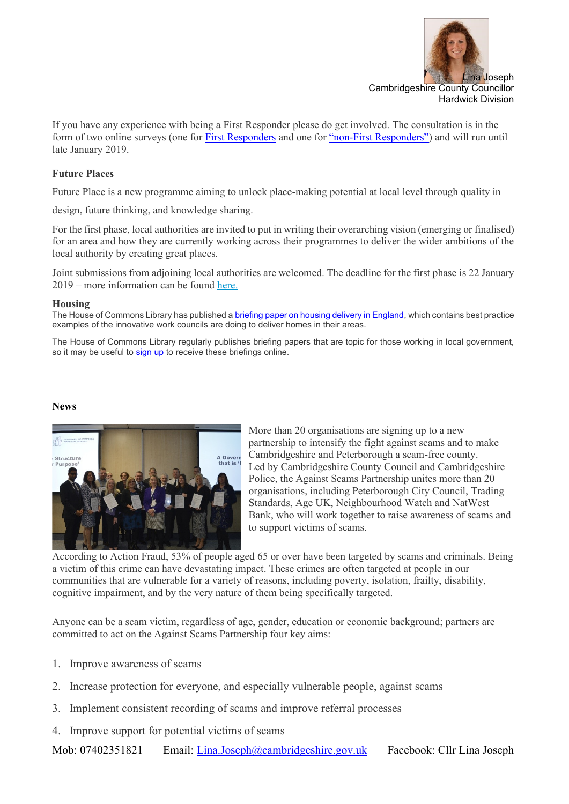

If you have any experience with being a First Responder please do get involved. The consultation is in the form of two online surveys (one for [First Responders](http://links.govdelivery.com/track?type=click&enid=ZWFzPTEmbXNpZD0mYXVpZD0mbWFpbGluZ2lkPTIwMTgxMjIxLjk5Mzc5NTQxJm1lc3NhZ2VpZD1NREItUFJELUJVTC0yMDE4MTIyMS45OTM3OTU0MSZkYXRhYmFzZWlkPTEwMDEmc2VyaWFsPTE3MDczMzc0JmVtYWlsaWQ9bGluYS5qb3NlcGhAY2FtYnJpZGdlc2hpcmUuZ292LnVrJnVzZXJpZD1saW5hLmpvc2VwaEBjYW1icmlkZ2VzaGlyZS5nb3YudWsmdGFyZ2V0aWQ9JmZsPSZleHRyYT1NdWx0aXZhcmlhdGVJZD0mJiY=&&&105&&&https://www.homeofficesurveys.homeoffice.gov.uk/s/FRFrontline) and one for "non-[First Responders"](http://links.govdelivery.com/track?type=click&enid=ZWFzPTEmbXNpZD0mYXVpZD0mbWFpbGluZ2lkPTIwMTgxMjIxLjk5Mzc5NTQxJm1lc3NhZ2VpZD1NREItUFJELUJVTC0yMDE4MTIyMS45OTM3OTU0MSZkYXRhYmFzZWlkPTEwMDEmc2VyaWFsPTE3MDczMzc0JmVtYWlsaWQ9bGluYS5qb3NlcGhAY2FtYnJpZGdlc2hpcmUuZ292LnVrJnVzZXJpZD1saW5hLmpvc2VwaEBjYW1icmlkZ2VzaGlyZS5nb3YudWsmdGFyZ2V0aWQ9JmZsPSZleHRyYT1NdWx0aXZhcmlhdGVJZD0mJiY=&&&106&&&https://www.homeofficesurveys.homeoffice.gov.uk/s/FRSurvey)) and will run until late January 2019.

#### **Future Places**

Future Place is a new programme aiming to unlock place-making potential at local level through quality in

design, future thinking, and knowledge sharing.

For the first phase, local authorities are invited to put in writing their overarching vision (emerging or finalised) for an area and how they are currently working across their programmes to deliver the wider ambitions of the local authority by creating great places.

Joint submissions from adjoining local authorities are welcomed. The deadline for the first phase is 22 January 2019 – more information can be found [here.](http://links.govdelivery.com/track?type=click&enid=ZWFzPTEmbXNpZD0mYXVpZD0mbWFpbGluZ2lkPTIwMTgxMjIxLjk5Mzc5NTQxJm1lc3NhZ2VpZD1NREItUFJELUJVTC0yMDE4MTIyMS45OTM3OTU0MSZkYXRhYmFzZWlkPTEwMDEmc2VyaWFsPTE3MDczMzc0JmVtYWlsaWQ9bGluYS5qb3NlcGhAY2FtYnJpZGdlc2hpcmUuZ292LnVrJnVzZXJpZD1saW5hLmpvc2VwaEBjYW1icmlkZ2VzaGlyZS5nb3YudWsmdGFyZ2V0aWQ9JmZsPSZleHRyYT1NdWx0aXZhcmlhdGVJZD0mJiY=&&&107&&&https://www.architecture.com/campaign/futureplace)

#### **Housing**

The House of Commons Library has published a [briefing paper on housing delivery in England,](http://links.govdelivery.com/track?type=click&enid=ZWFzPTEmbXNpZD0mYXVpZD0mbWFpbGluZ2lkPTIwMTgxMjIxLjk5Mzc5NTQxJm1lc3NhZ2VpZD1NREItUFJELUJVTC0yMDE4MTIyMS45OTM3OTU0MSZkYXRhYmFzZWlkPTEwMDEmc2VyaWFsPTE3MDczMzc0JmVtYWlsaWQ9bGluYS5qb3NlcGhAY2FtYnJpZGdlc2hpcmUuZ292LnVrJnVzZXJpZD1saW5hLmpvc2VwaEBjYW1icmlkZ2VzaGlyZS5nb3YudWsmdGFyZ2V0aWQ9JmZsPSZleHRyYT1NdWx0aXZhcmlhdGVJZD0mJiY=&&&109&&&https://researchbriefings.parliament.uk/ResearchBriefing/Summary/CBP-7671) which contains best practice examples of the innovative work councils are doing to deliver homes in their areas.

The House of Commons Library regularly publishes briefing papers that are topic for those working in local government, so it may be useful to [sign up](http://links.govdelivery.com/track?type=click&enid=ZWFzPTEmbXNpZD0mYXVpZD0mbWFpbGluZ2lkPTIwMTgxMjIxLjk5Mzc5NTQxJm1lc3NhZ2VpZD1NREItUFJELUJVTC0yMDE4MTIyMS45OTM3OTU0MSZkYXRhYmFzZWlkPTEwMDEmc2VyaWFsPTE3MDczMzc0JmVtYWlsaWQ9bGluYS5qb3NlcGhAY2FtYnJpZGdlc2hpcmUuZ292LnVrJnVzZXJpZD1saW5hLmpvc2VwaEBjYW1icmlkZ2VzaGlyZS5nb3YudWsmdGFyZ2V0aWQ9JmZsPSZleHRyYT1NdWx0aXZhcmlhdGVJZD0mJiY=&&&110&&&https://subscriptions.parliament.uk/accounts/UKPARLIAMENT/subscriber/new?topic_id=UKPARLIAMENT_1348) to receive these briefings online.

#### **News**



More than 20 organisations are signing up to a new partnership to intensify the fight against scams and to make Cambridgeshire and Peterborough a scam-free county. Led by Cambridgeshire County Council and Cambridgeshire Police, the Against Scams Partnership unites more than 20 organisations, including Peterborough City Council, Trading Standards, Age UK, Neighbourhood Watch and NatWest Bank, who will work together to raise awareness of scams and to support victims of scams.

According to Action Fraud, 53% of people aged 65 or over have been targeted by scams and criminals. Being a victim of this crime can have devastating impact. These crimes are often targeted at people in our communities that are vulnerable for a variety of reasons, including poverty, isolation, frailty, disability, cognitive impairment, and by the very nature of them being specifically targeted.

Anyone can be a scam victim, regardless of age, gender, education or economic background; partners are committed to act on the Against Scams Partnership four key aims:

- 1. Improve awareness of scams
- 2. Increase protection for everyone, and especially vulnerable people, against scams
- 3. Implement consistent recording of scams and improve referral processes
- 4. Improve support for potential victims of scams

Mob: 07402351821 Email: [Lina.Joseph@cambridgeshire.gov.uk](mailto:Lina.Joseph@cambridgeshire.gov.uk) Facebook: Cllr Lina Joseph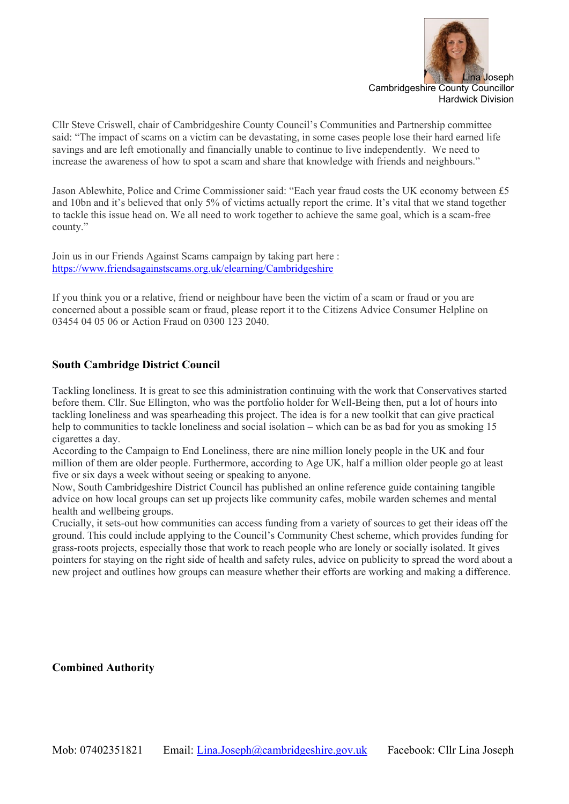

Cllr Steve Criswell, chair of Cambridgeshire County Council's Communities and Partnership committee said: "The impact of scams on a victim can be devastating, in some cases people lose their hard earned life savings and are left emotionally and financially unable to continue to live independently. We need to increase the awareness of how to spot a scam and share that knowledge with friends and neighbours."

Jason Ablewhite, Police and Crime Commissioner said: "Each year fraud costs the UK economy between £5 and 10bn and it's believed that only 5% of victims actually report the crime. It's vital that we stand together to tackle this issue head on. We all need to work together to achieve the same goal, which is a scam-free county."

Join us in our Friends Against Scams campaign by taking part here : [https://www.friendsagainstscams.org.uk/elearning/Cambridgeshire](http://tracking.vuelio.co.uk/tracking/click?d=_OKvcjmAhAq4s7YxcMY7gYpnn2Hzoi2UDeJYTfTZSU0ZBssAnsm_Ilxmbg9h5zgpqRTONoZZn4SMXaxI-gYBQdF-g3ZEOoo-fI4y2E10Y4buemMuHIl-uIER1jMv50k3HX7ozC8R2nBJYSOXBrGUZ0JdnCf8Oz1kDrjd-vDEPeSw0)

If you think you or a relative, friend or neighbour have been the victim of a scam or fraud or you are concerned about a possible scam or fraud, please report it to the Citizens Advice Consumer Helpline on 03454 04 05 06 or Action Fraud on 0300 123 2040.

### **South Cambridge District Council**

Tackling loneliness. It is great to see this administration continuing with the work that Conservatives started before them. Cllr. Sue Ellington, who was the portfolio holder for Well-Being then, put a lot of hours into tackling loneliness and was spearheading this project. The idea is for a new toolkit that can give practical help to communities to tackle loneliness and social isolation – which can be as bad for you as smoking 15 cigarettes a day.

According to the Campaign to End Loneliness, there are nine million lonely people in the UK and four million of them are older people. Furthermore, according to Age UK, half a million older people go at least five or six days a week without seeing or speaking to anyone.

Now, South Cambridgeshire District Council has published an online reference guide containing tangible advice on how local groups can set up projects like community cafes, mobile warden schemes and mental health and wellbeing groups.

Crucially, it sets-out how communities can access funding from a variety of sources to get their ideas off the ground. This could include applying to the Council's Community Chest scheme, which provides funding for grass-roots projects, especially those that work to reach people who are lonely or socially isolated. It gives pointers for staying on the right side of health and safety rules, advice on publicity to spread the word about a new project and outlines how groups can measure whether their efforts are working and making a difference.

**Combined Authority**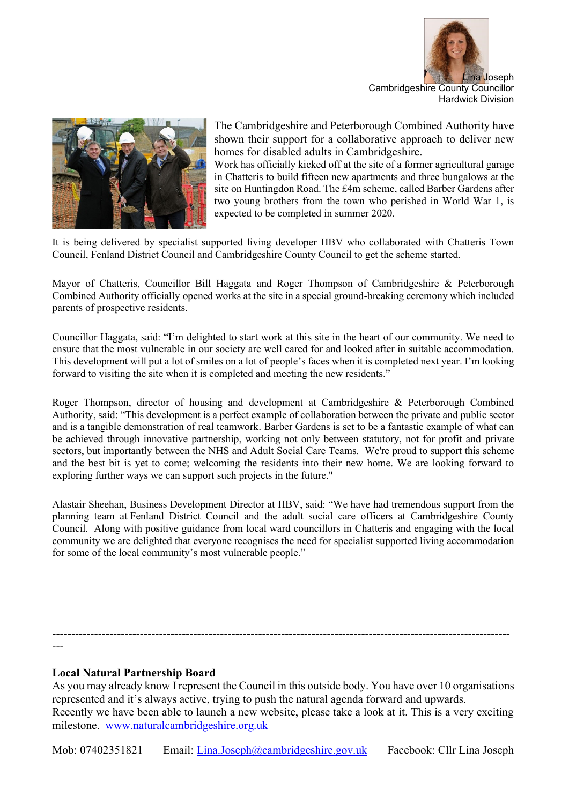



The Cambridgeshire and Peterborough Combined Authority have shown their support for a collaborative approach to deliver new homes for disabled adults in Cambridgeshire.

Work has officially kicked off at the site of a former agricultural garage in Chatteris to build fifteen new apartments and three bungalows at the site on Huntingdon Road. The £4m scheme, called Barber Gardens after two young brothers from the town who perished in World War 1, is expected to be completed in summer 2020.

It is being delivered by specialist supported living developer HBV who collaborated with Chatteris Town Council, Fenland District Council and Cambridgeshire County Council to get the scheme started.

Mayor of Chatteris, Councillor Bill Haggata and Roger Thompson of Cambridgeshire & Peterborough Combined Authority officially opened works at the site in a special ground-breaking ceremony which included parents of prospective residents.

Councillor Haggata, said: "I'm delighted to start work at this site in the heart of our community. We need to ensure that the most vulnerable in our society are well cared for and looked after in suitable accommodation. This development will put a lot of smiles on a lot of people's faces when it is completed next year. I'm looking forward to visiting the site when it is completed and meeting the new residents."

Roger Thompson, director of housing and development at Cambridgeshire & Peterborough Combined Authority, said: "This development is a perfect example of collaboration between the private and public sector and is a tangible demonstration of real teamwork. Barber Gardens is set to be a fantastic example of what can be achieved through innovative partnership, working not only between statutory, not for profit and private sectors, but importantly between the NHS and Adult Social Care Teams. We're proud to support this scheme and the best bit is yet to come; welcoming the residents into their new home. We are looking forward to exploring further ways we can support such projects in the future."

Alastair Sheehan, Business Development Director at HBV, said: "We have had tremendous support from the planning team at Fenland District Council and the adult social care officers at Cambridgeshire County Council. Along with positive guidance from local ward councillors in Chatteris and engaging with the local community we are delighted that everyone recognises the need for specialist supported living accommodation for some of the local community's most vulnerable people."

------------------------------------------------------------------------------------------------------------------------ ---

### **Local Natural Partnership Board**

As you may already know I represent the Council in this outside body. You have over 10 organisations represented and it's always active, trying to push the natural agenda forward and upwards. Recently we have been able to launch a new website, please take a look at it. This is a very exciting milestone. [www.naturalcambridgeshire.org.uk](http://www.naturalcambridgeshire.org.uk/)